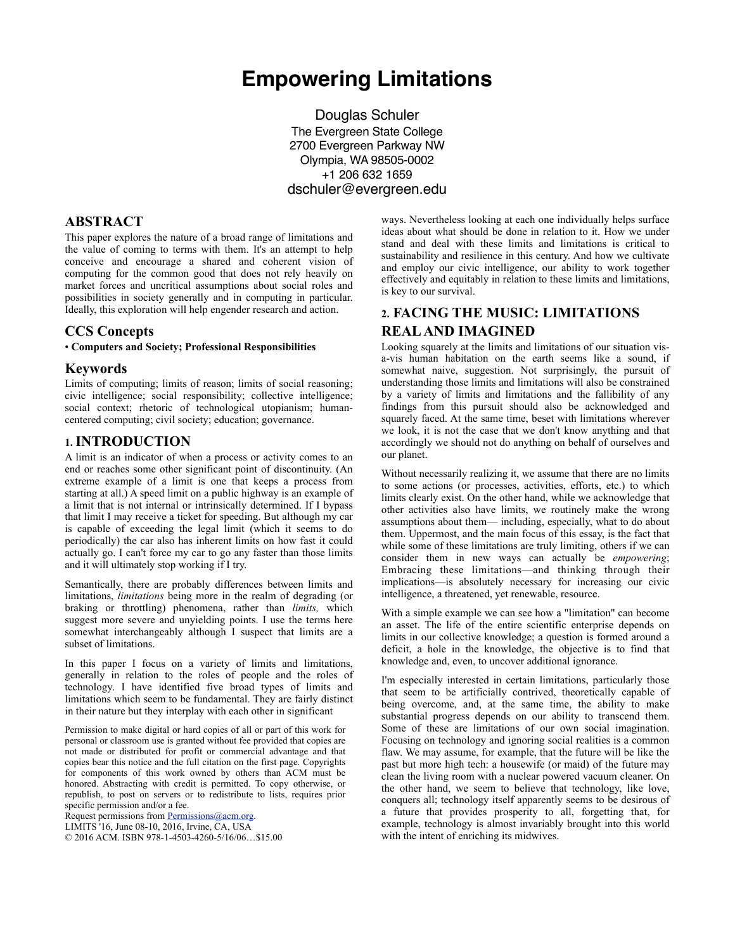# **Empowering Limitations**

Douglas Schuler The Evergreen State College 2700 Evergreen Parkway NW Olympia, WA 98505-0002 +1 206 632 1659 dschuler@evergreen.edu

### **ABSTRACT**

This paper explores the nature of a broad range of limitations and the value of coming to terms with them. It's an attempt to help conceive and encourage a shared and coherent vision of computing for the common good that does not rely heavily on market forces and uncritical assumptions about social roles and possibilities in society generally and in computing in particular. Ideally, this exploration will help engender research and action.

### **CCS Concepts**

#### • **Computers and Society; Professional Responsibilities**

#### **Keywords**

Limits of computing; limits of reason; limits of social reasoning; civic intelligence; social responsibility; collective intelligence; social context; rhetoric of technological utopianism; humancentered computing; civil society; education; governance.

### **1.INTRODUCTION**

A limit is an indicator of when a process or activity comes to an end or reaches some other significant point of discontinuity. (An extreme example of a limit is one that keeps a process from starting at all.) A speed limit on a public highway is an example of a limit that is not internal or intrinsically determined. If I bypass that limit I may receive a ticket for speeding. But although my car is capable of exceeding the legal limit (which it seems to do periodically) the car also has inherent limits on how fast it could actually go. I can't force my car to go any faster than those limits and it will ultimately stop working if I try.

Semantically, there are probably differences between limits and limitations, *limitations* being more in the realm of degrading (or braking or throttling) phenomena, rather than *limits,* which suggest more severe and unyielding points. I use the terms here somewhat interchangeably although I suspect that limits are a subset of limitations.

In this paper I focus on a variety of limits and limitations, generally in relation to the roles of people and the roles of technology. I have identified five broad types of limits and limitations which seem to be fundamental. They are fairly distinct in their nature but they interplay with each other in significant

Permission to make digital or hard copies of all or part of this work for personal or classroom use is granted without fee provided that copies are not made or distributed for profit or commercial advantage and that copies bear this notice and the full citation on the first page. Copyrights for components of this work owned by others than ACM must be honored. Abstracting with credit is permitted. To copy otherwise, or republish, to post on servers or to redistribute to lists, requires prior specific permission and/or a fee.

Request permissions from [Permissions@acm.org](mailto:Permissions@acm.org).

LIMITS '16, June 08-10, 2016, Irvine, CA, USA

© 2016 ACM. ISBN 978-1-4503-4260-5/16/06…\$15.00

ways. Nevertheless looking at each one individually helps surface ideas about what should be done in relation to it. How we under stand and deal with these limits and limitations is critical to sustainability and resilience in this century. And how we cultivate and employ our civic intelligence, our ability to work together effectively and equitably in relation to these limits and limitations, is key to our survival.

# **2. FACING THE MUSIC: LIMITATIONS REAL AND IMAGINED**

Looking squarely at the limits and limitations of our situation visa-vis human habitation on the earth seems like a sound, if somewhat naive, suggestion. Not surprisingly, the pursuit of understanding those limits and limitations will also be constrained by a variety of limits and limitations and the fallibility of any findings from this pursuit should also be acknowledged and squarely faced. At the same time, beset with limitations wherever we look, it is not the case that we don't know anything and that accordingly we should not do anything on behalf of ourselves and our planet.

Without necessarily realizing it, we assume that there are no limits to some actions (or processes, activities, efforts, etc.) to which limits clearly exist. On the other hand, while we acknowledge that other activities also have limits, we routinely make the wrong assumptions about them— including, especially, what to do about them. Uppermost, and the main focus of this essay, is the fact that while some of these limitations are truly limiting, others if we can consider them in new ways can actually be *empowering*; Embracing these limitations—and thinking through their implications—is absolutely necessary for increasing our civic intelligence, a threatened, yet renewable, resource.

With a simple example we can see how a "limitation" can become an asset. The life of the entire scientific enterprise depends on limits in our collective knowledge; a question is formed around a deficit, a hole in the knowledge, the objective is to find that knowledge and, even, to uncover additional ignorance.

I'm especially interested in certain limitations, particularly those that seem to be artificially contrived, theoretically capable of being overcome, and, at the same time, the ability to make substantial progress depends on our ability to transcend them. Some of these are limitations of our own social imagination. Focusing on technology and ignoring social realities is a common flaw. We may assume, for example, that the future will be like the past but more high tech: a housewife (or maid) of the future may clean the living room with a nuclear powered vacuum cleaner. On the other hand, we seem to believe that technology, like love, conquers all; technology itself apparently seems to be desirous of a future that provides prosperity to all, forgetting that, for example, technology is almost invariably brought into this world with the intent of enriching its midwives.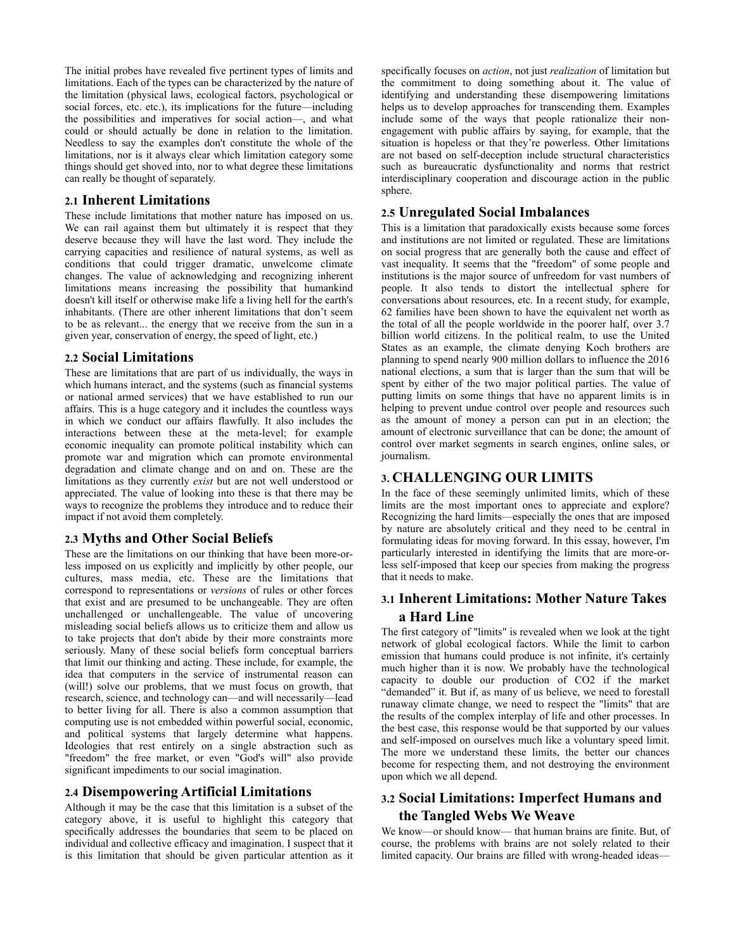The initial probes have revealed five pertinent types of limits and limitations. Each of the types can be characterized by the nature of the limitation (physical laws, ecological factors, psychological or social forces, etc. etc.), its implications for the future—including the possibilities and imperatives for social action—, and what could or should actually be done in relation to the limitation. Needless to say the examples don't constitute the whole of the limitations, nor is it always clear which limitation category some things should get shoved into, nor to what degree these limitations can really be thought of separately.

### **2.1 Inherent Limitations**

These include limitations that mother nature has imposed on us. We can rail against them but ultimately it is respect that they deserve because they will have the last word. They include the carrying capacities and resilience of natural systems, as well as conditions that could trigger dramatic, unwelcome climate changes. The value of acknowledging and recognizing inherent limitations means increasing the possibility that humankind doesn't kill itself or otherwise make life a living hell for the earth's inhabitants. (There are other inherent limitations that don't seem to be as relevant... the energy that we receive from the sun in a given year, conservation of energy, the speed of light, etc.)

#### **2.2 Social Limitations**

These are limitations that are part of us individually, the ways in which humans interact, and the systems (such as financial systems or national armed services) that we have established to run our affairs. This is a huge category and it includes the countless ways in which we conduct our affairs flawfully. It also includes the interactions between these at the meta-level; for example economic inequality can promote political instability which can promote war and migration which can promote environmental degradation and climate change and on and on. These are the limitations as they currently *exist* but are not well understood or appreciated. The value of looking into these is that there may be ways to recognize the problems they introduce and to reduce their impact if not avoid them completely.

#### **2.3 Myths and Other Social Beliefs**

These are the limitations on our thinking that have been more-orless imposed on us explicitly and implicitly by other people, our cultures, mass media, etc. These are the limitations that correspond to representations or *versions* of rules or other forces that exist and are presumed to be unchangeable. They are often unchallenged or unchallengeable. The value of uncovering misleading social beliefs allows us to criticize them and allow us to take projects that don't abide by their more constraints more seriously. Many of these social beliefs form conceptual barriers that limit our thinking and acting. These include, for example, the idea that computers in the service of instrumental reason can (will!) solve our problems, that we must focus on growth, that research, science, and technology can—and will necessarily—lead to better living for all. There is also a common assumption that computing use is not embedded within powerful social, economic, and political systems that largely determine what happens. Ideologies that rest entirely on a single abstraction such as "freedom" the free market, or even "God's will" also provide significant impediments to our social imagination.

### **2.4 Disempowering Artificial Limitations**

Although it may be the case that this limitation is a subset of the category above, it is useful to highlight this category that specifically addresses the boundaries that seem to be placed on individual and collective efficacy and imagination. I suspect that it is this limitation that should be given particular attention as it

specifically focuses on *action*, not just *realization* of limitation but the commitment to doing something about it. The value of identifying and understanding these disempowering limitations helps us to develop approaches for transcending them. Examples include some of the ways that people rationalize their nonengagement with public affairs by saying, for example, that the situation is hopeless or that they're powerless. Other limitations are not based on self-deception include structural characteristics such as bureaucratic dysfunctionality and norms that restrict interdisciplinary cooperation and discourage action in the public sphere.

### **2.5 Unregulated Social Imbalances**

This is a limitation that paradoxically exists because some forces and institutions are not limited or regulated. These are limitations on social progress that are generally both the cause and effect of vast inequality. It seems that the "freedom" of some people and institutions is the major source of unfreedom for vast numbers of people. It also tends to distort the intellectual sphere for conversations about resources, etc. In a recent study, for example, 62 families have been shown to have the equivalent net worth as the total of all the people worldwide in the poorer half, over 3.7 billion world citizens. In the political realm, to use the United States as an example, the climate denying Koch brothers are planning to spend nearly 900 million dollars to influence the 2016 national elections, a sum that is larger than the sum that will be spent by either of the two major political parties. The value of putting limits on some things that have no apparent limits is in helping to prevent undue control over people and resources such as the amount of money a person can put in an election; the amount of electronic surveillance that can be done; the amount of control over market segments in search engines, online sales, or journalism.

### **3. CHALLENGING OUR LIMITS**

In the face of these seemingly unlimited limits, which of these limits are the most important ones to appreciate and explore? Recognizing the hard limits—especially the ones that are imposed by nature are absolutely critical and they need to be central in formulating ideas for moving forward. In this essay, however, I'm particularly interested in identifying the limits that are more-orless self-imposed that keep our species from making the progress that it needs to make.

# **3.1 Inherent Limitations: Mother Nature Takes a Hard Line**

The first category of "limits" is revealed when we look at the tight network of global ecological factors. While the limit to carbon emission that humans could produce is not infinite, it's certainly much higher than it is now. We probably have the technological capacity to double our production of CO2 if the market "demanded" it. But if, as many of us believe, we need to forestall runaway climate change, we need to respect the "limits" that are the results of the complex interplay of life and other processes. In the best case, this response would be that supported by our values and self-imposed on ourselves much like a voluntary speed limit. The more we understand these limits, the better our chances become for respecting them, and not destroying the environment upon which we all depend.

# **3.2 Social Limitations: Imperfect Humans and the Tangled Webs We Weave**

We know—or should know— that human brains are finite. But, of course, the problems with brains are not solely related to their limited capacity. Our brains are filled with wrong-headed ideas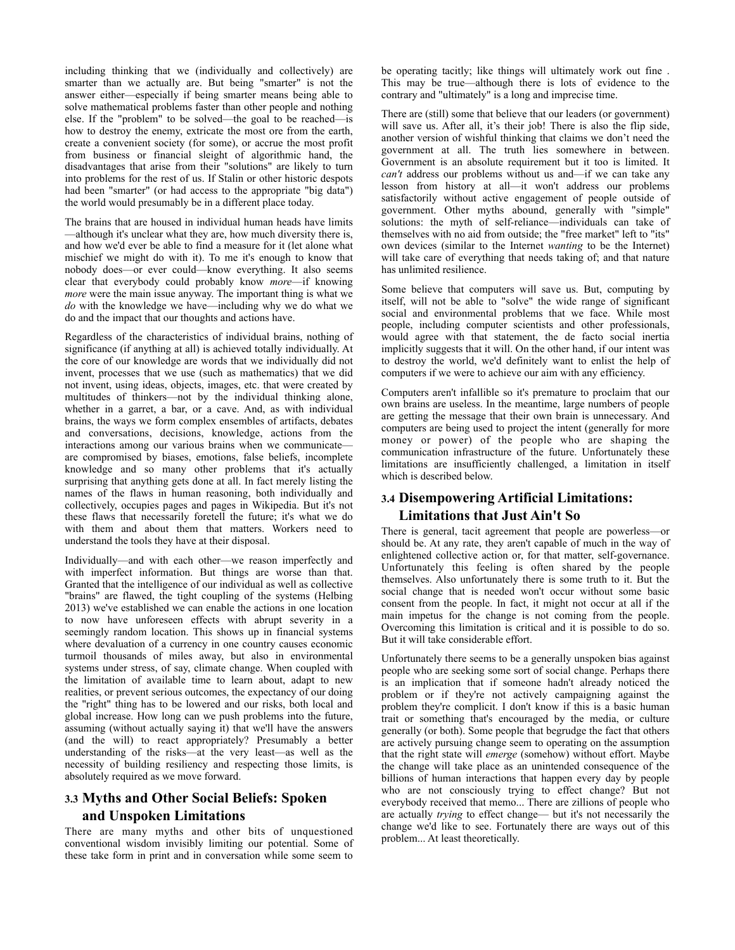including thinking that we (individually and collectively) are smarter than we actually are. But being "smarter" is not the answer either—especially if being smarter means being able to solve mathematical problems faster than other people and nothing else. If the "problem" to be solved—the goal to be reached—is how to destroy the enemy, extricate the most ore from the earth, create a convenient society (for some), or accrue the most profit from business or financial sleight of algorithmic hand, the disadvantages that arise from their "solutions" are likely to turn into problems for the rest of us. If Stalin or other historic despots had been "smarter" (or had access to the appropriate "big data") the world would presumably be in a different place today.

The brains that are housed in individual human heads have limits —although it's unclear what they are, how much diversity there is, and how we'd ever be able to find a measure for it (let alone what mischief we might do with it). To me it's enough to know that nobody does—or ever could—know everything. It also seems clear that everybody could probably know *more*—if knowing *more* were the main issue anyway. The important thing is what we *do* with the knowledge we have—including why we do what we do and the impact that our thoughts and actions have.

Regardless of the characteristics of individual brains, nothing of significance (if anything at all) is achieved totally individually. At the core of our knowledge are words that we individually did not invent, processes that we use (such as mathematics) that we did not invent, using ideas, objects, images, etc. that were created by multitudes of thinkers—not by the individual thinking alone, whether in a garret, a bar, or a cave. And, as with individual brains, the ways we form complex ensembles of artifacts, debates and conversations, decisions, knowledge, actions from the interactions among our various brains when we communicate are compromised by biases, emotions, false beliefs, incomplete knowledge and so many other problems that it's actually surprising that anything gets done at all. In fact merely listing the names of the flaws in human reasoning, both individually and collectively, occupies pages and pages in Wikipedia. But it's not these flaws that necessarily foretell the future; it's what we do with them and about them that matters. Workers need to understand the tools they have at their disposal.

Individually—and with each other—we reason imperfectly and with imperfect information. But things are worse than that. Granted that the intelligence of our individual as well as collective "brains" are flawed, the tight coupling of the systems (Helbing 2013) we've established we can enable the actions in one location to now have unforeseen effects with abrupt severity in a seemingly random location. This shows up in financial systems where devaluation of a currency in one country causes economic turmoil thousands of miles away, but also in environmental systems under stress, of say, climate change. When coupled with the limitation of available time to learn about, adapt to new realities, or prevent serious outcomes, the expectancy of our doing the "right" thing has to be lowered and our risks, both local and global increase. How long can we push problems into the future, assuming (without actually saying it) that we'll have the answers (and the will) to react appropriately? Presumably a better understanding of the risks—at the very least—as well as the necessity of building resiliency and respecting those limits, is absolutely required as we move forward.

# **3.3 Myths and Other Social Beliefs: Spoken and Unspoken Limitations**

There are many myths and other bits of unquestioned conventional wisdom invisibly limiting our potential. Some of these take form in print and in conversation while some seem to

be operating tacitly; like things will ultimately work out fine . This may be true—although there is lots of evidence to the contrary and "ultimately" is a long and imprecise time.

There are (still) some that believe that our leaders (or government) will save us. After all, it's their job! There is also the flip side, another version of wishful thinking that claims we don't need the government at all. The truth lies somewhere in between. Government is an absolute requirement but it too is limited. It *can't* address our problems without us and—if we can take any lesson from history at all—it won't address our problems satisfactorily without active engagement of people outside of government. Other myths abound, generally with "simple" solutions: the myth of self-reliance—individuals can take of themselves with no aid from outside; the "free market" left to "its" own devices (similar to the Internet *wanting* to be the Internet) will take care of everything that needs taking of; and that nature has unlimited resilience.

Some believe that computers will save us. But, computing by itself, will not be able to "solve" the wide range of significant social and environmental problems that we face. While most people, including computer scientists and other professionals, would agree with that statement, the de facto social inertia implicitly suggests that it will. On the other hand, if our intent was to destroy the world, we'd definitely want to enlist the help of computers if we were to achieve our aim with any efficiency.

Computers aren't infallible so it's premature to proclaim that our own brains are useless. In the meantime, large numbers of people are getting the message that their own brain is unnecessary. And computers are being used to project the intent (generally for more money or power) of the people who are shaping the communication infrastructure of the future. Unfortunately these limitations are insufficiently challenged, a limitation in itself which is described below.

# **3.4 Disempowering Artificial Limitations: Limitations that Just Ain't So**

There is general, tacit agreement that people are powerless—or should be. At any rate, they aren't capable of much in the way of enlightened collective action or, for that matter, self-governance. Unfortunately this feeling is often shared by the people themselves. Also unfortunately there is some truth to it. But the social change that is needed won't occur without some basic consent from the people. In fact, it might not occur at all if the main impetus for the change is not coming from the people. Overcoming this limitation is critical and it is possible to do so. But it will take considerable effort.

Unfortunately there seems to be a generally unspoken bias against people who are seeking some sort of social change. Perhaps there is an implication that if someone hadn't already noticed the problem or if they're not actively campaigning against the problem they're complicit. I don't know if this is a basic human trait or something that's encouraged by the media, or culture generally (or both). Some people that begrudge the fact that others are actively pursuing change seem to operating on the assumption that the right state will *emerge* (somehow) without effort. Maybe the change will take place as an unintended consequence of the billions of human interactions that happen every day by people who are not consciously trying to effect change? But not everybody received that memo... There are zillions of people who are actually *trying* to effect change— but it's not necessarily the change we'd like to see. Fortunately there are ways out of this problem... At least theoretically.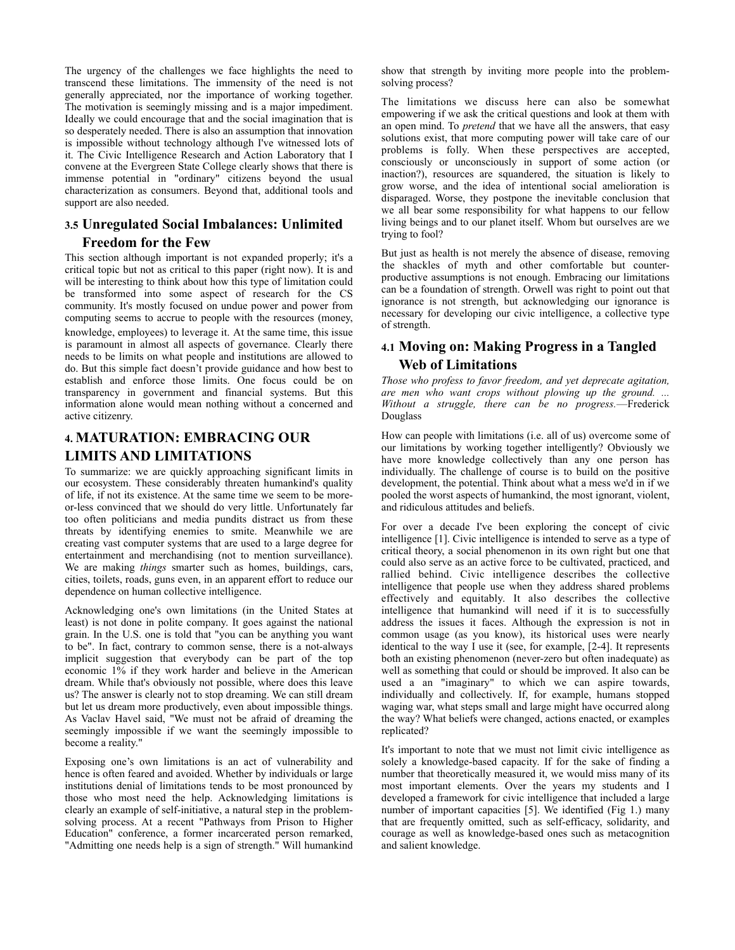The urgency of the challenges we face highlights the need to transcend these limitations. The immensity of the need is not generally appreciated, nor the importance of working together. The motivation is seemingly missing and is a major impediment. Ideally we could encourage that and the social imagination that is so desperately needed. There is also an assumption that innovation is impossible without technology although I've witnessed lots of it. The Civic Intelligence Research and Action Laboratory that I convene at the Evergreen State College clearly shows that there is immense potential in "ordinary" citizens beyond the usual characterization as consumers. Beyond that, additional tools and support are also needed.

# **3.5 Unregulated Social Imbalances: Unlimited Freedom for the Few**

This section although important is not expanded properly; it's a critical topic but not as critical to this paper (right now). It is and will be interesting to think about how this type of limitation could be transformed into some aspect of research for the CS community. It's mostly focused on undue power and power from computing seems to accrue to people with the resources (money, knowledge, employees) to leverage it. At the same time, this issue is paramount in almost all aspects of governance. Clearly there needs to be limits on what people and institutions are allowed to do. But this simple fact doesn't provide guidance and how best to establish and enforce those limits. One focus could be on transparency in government and financial systems. But this information alone would mean nothing without a concerned and active citizenry.

# **4. MATURATION: EMBRACING OUR LIMITS AND LIMITATIONS**

To summarize: we are quickly approaching significant limits in our ecosystem. These considerably threaten humankind's quality of life, if not its existence. At the same time we seem to be moreor-less convinced that we should do very little. Unfortunately far too often politicians and media pundits distract us from these threats by identifying enemies to smite. Meanwhile we are creating vast computer systems that are used to a large degree for entertainment and merchandising (not to mention surveillance). We are making *things* smarter such as homes, buildings, cars, cities, toilets, roads, guns even, in an apparent effort to reduce our dependence on human collective intelligence.

Acknowledging one's own limitations (in the United States at least) is not done in polite company. It goes against the national grain. In the U.S. one is told that "you can be anything you want to be". In fact, contrary to common sense, there is a not-always implicit suggestion that everybody can be part of the top economic 1% if they work harder and believe in the American dream. While that's obviously not possible, where does this leave us? The answer is clearly not to stop dreaming. We can still dream but let us dream more productively, even about impossible things. As Vaclav Havel said, "We must not be afraid of dreaming the seemingly impossible if we want the seemingly impossible to become a reality."

Exposing one's own limitations is an act of vulnerability and hence is often feared and avoided. Whether by individuals or large institutions denial of limitations tends to be most pronounced by those who most need the help. Acknowledging limitations is clearly an example of self-initiative, a natural step in the problemsolving process. At a recent "Pathways from Prison to Higher Education" conference, a former incarcerated person remarked, "Admitting one needs help is a sign of strength." Will humankind

show that strength by inviting more people into the problemsolving process?

The limitations we discuss here can also be somewhat empowering if we ask the critical questions and look at them with an open mind. To *pretend* that we have all the answers, that easy solutions exist, that more computing power will take care of our problems is folly. When these perspectives are accepted, consciously or unconsciously in support of some action (or inaction?), resources are squandered, the situation is likely to grow worse, and the idea of intentional social amelioration is disparaged. Worse, they postpone the inevitable conclusion that we all bear some responsibility for what happens to our fellow living beings and to our planet itself. Whom but ourselves are we trying to fool?

But just as health is not merely the absence of disease, removing the shackles of myth and other comfortable but counterproductive assumptions is not enough. Embracing our limitations can be a foundation of strength. Orwell was right to point out that ignorance is not strength, but acknowledging our ignorance is necessary for developing our civic intelligence, a collective type of strength.

# **4.1 Moving on: Making Progress in a Tangled Web of Limitations**

*Those who profess to favor freedom, and yet deprecate agitation, are men who want crops without plowing up the ground. ... Without a struggle, there can be no progress.*—Frederick Douglass

How can people with limitations (i.e. all of us) overcome some of our limitations by working together intelligently? Obviously we have more knowledge collectively than any one person has individually. The challenge of course is to build on the positive development, the potential. Think about what a mess we'd in if we pooled the worst aspects of humankind, the most ignorant, violent, and ridiculous attitudes and beliefs.

For over a decade I've been exploring the concept of civic intelligence [1]. Civic intelligence is intended to serve as a type of critical theory, a social phenomenon in its own right but one that could also serve as an active force to be cultivated, practiced, and rallied behind. Civic intelligence describes the collective intelligence that people use when they address shared problems effectively and equitably. It also describes the collective intelligence that humankind will need if it is to successfully address the issues it faces. Although the expression is not in common usage (as you know), its historical uses were nearly identical to the way I use it (see, for example, [2-4]. It represents both an existing phenomenon (never-zero but often inadequate) as well as something that could or should be improved. It also can be used a an "imaginary" to which we can aspire towards, individually and collectively. If, for example, humans stopped waging war, what steps small and large might have occurred along the way? What beliefs were changed, actions enacted, or examples replicated?

It's important to note that we must not limit civic intelligence as solely a knowledge-based capacity. If for the sake of finding a number that theoretically measured it, we would miss many of its most important elements. Over the years my students and I developed a framework for civic intelligence that included a large number of important capacities [5]. We identified (Fig 1.) many that are frequently omitted, such as self-efficacy, solidarity, and courage as well as knowledge-based ones such as metacognition and salient knowledge.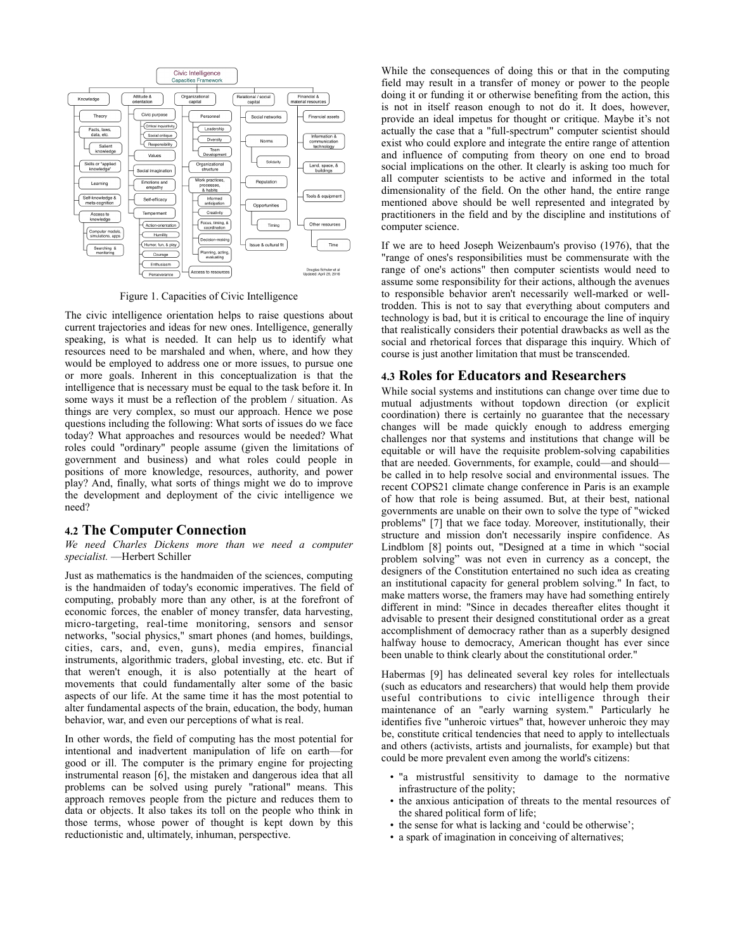

Figure 1. Capacities of Civic Intelligence

The civic intelligence orientation helps to raise questions about current trajectories and ideas for new ones. Intelligence, generally speaking, is what is needed. It can help us to identify what resources need to be marshaled and when, where, and how they would be employed to address one or more issues, to pursue one or more goals. Inherent in this conceptualization is that the intelligence that is necessary must be equal to the task before it. In some ways it must be a reflection of the problem / situation. As things are very complex, so must our approach. Hence we pose questions including the following: What sorts of issues do we face today? What approaches and resources would be needed? What roles could "ordinary" people assume (given the limitations of government and business) and what roles could people in positions of more knowledge, resources, authority, and power play? And, finally, what sorts of things might we do to improve the development and deployment of the civic intelligence we need?

#### **4.2 The Computer Connection**

*We need Charles Dickens more than we need a computer specialist.* —Herbert Schiller

Just as mathematics is the handmaiden of the sciences, computing is the handmaiden of today's economic imperatives. The field of computing, probably more than any other, is at the forefront of economic forces, the enabler of money transfer, data harvesting, micro-targeting, real-time monitoring, sensors and sensor networks, "social physics," smart phones (and homes, buildings, cities, cars, and, even, guns), media empires, financial instruments, algorithmic traders, global investing, etc. etc. But if that weren't enough, it is also potentially at the heart of movements that could fundamentally alter some of the basic aspects of our life. At the same time it has the most potential to alter fundamental aspects of the brain, education, the body, human behavior, war, and even our perceptions of what is real.

In other words, the field of computing has the most potential for intentional and inadvertent manipulation of life on earth—for good or ill. The computer is the primary engine for projecting instrumental reason [6], the mistaken and dangerous idea that all problems can be solved using purely "rational" means. This approach removes people from the picture and reduces them to data or objects. It also takes its toll on the people who think in those terms, whose power of thought is kept down by this reductionistic and, ultimately, inhuman, perspective.

While the consequences of doing this or that in the computing field may result in a transfer of money or power to the people doing it or funding it or otherwise benefiting from the action, this is not in itself reason enough to not do it. It does, however, provide an ideal impetus for thought or critique. Maybe it's not actually the case that a "full-spectrum" computer scientist should exist who could explore and integrate the entire range of attention and influence of computing from theory on one end to broad social implications on the other. It clearly is asking too much for all computer scientists to be active and informed in the total dimensionality of the field. On the other hand, the entire range mentioned above should be well represented and integrated by practitioners in the field and by the discipline and institutions of computer science.

If we are to heed Joseph Weizenbaum's proviso (1976), that the "range of ones's responsibilities must be commensurate with the range of one's actions" then computer scientists would need to assume some responsibility for their actions, although the avenues to responsible behavior aren't necessarily well-marked or welltrodden. This is not to say that everything about computers and technology is bad, but it is critical to encourage the line of inquiry that realistically considers their potential drawbacks as well as the social and rhetorical forces that disparage this inquiry. Which of course is just another limitation that must be transcended.

#### **4.3 Roles for Educators and Researchers**

While social systems and institutions can change over time due to mutual adjustments without topdown direction (or explicit coordination) there is certainly no guarantee that the necessary changes will be made quickly enough to address emerging challenges nor that systems and institutions that change will be equitable or will have the requisite problem-solving capabilities that are needed. Governments, for example, could—and should be called in to help resolve social and environmental issues. The recent COPS21 climate change conference in Paris is an example of how that role is being assumed. But, at their best, national governments are unable on their own to solve the type of "wicked problems" [7] that we face today. Moreover, institutionally, their structure and mission don't necessarily inspire confidence. As Lindblom [8] points out, "Designed at a time in which "social problem solving" was not even in currency as a concept, the designers of the Constitution entertained no such idea as creating an institutional capacity for general problem solving." In fact, to make matters worse, the framers may have had something entirely different in mind: "Since in decades thereafter elites thought it advisable to present their designed constitutional order as a great accomplishment of democracy rather than as a superbly designed halfway house to democracy, American thought has ever since been unable to think clearly about the constitutional order."

Habermas [9] has delineated several key roles for intellectuals (such as educators and researchers) that would help them provide useful contributions to civic intelligence through their maintenance of an "early warning system." Particularly he identifies five "unheroic virtues" that, however unheroic they may be, constitute critical tendencies that need to apply to intellectuals and others (activists, artists and journalists, for example) but that could be more prevalent even among the world's citizens:

- "a mistrustful sensitivity to damage to the normative infrastructure of the polity;
- the anxious anticipation of threats to the mental resources of the shared political form of life;
- the sense for what is lacking and 'could be otherwise';
- a spark of imagination in conceiving of alternatives;